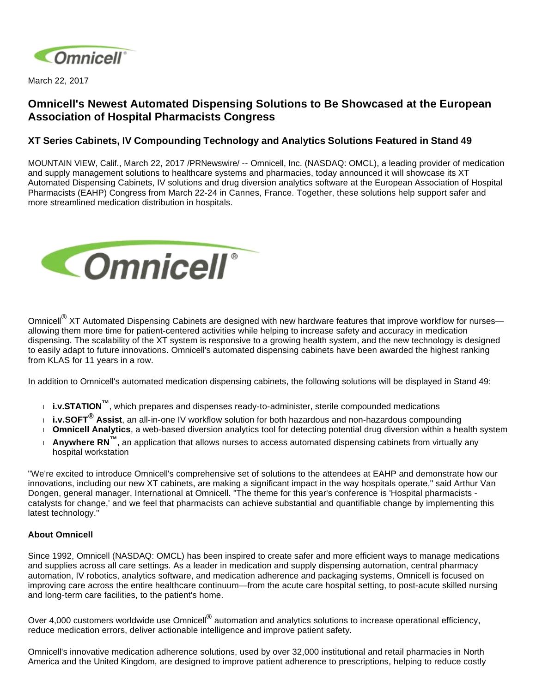

March 22, 2017

## **Omnicell's Newest Automated Dispensing Solutions to Be Showcased at the European Association of Hospital Pharmacists Congress**

## **XT Series Cabinets, IV Compounding Technology and Analytics Solutions Featured in Stand 49**

MOUNTAIN VIEW, Calif., March 22, 2017 /PRNewswire/ -- Omnicell, Inc. (NASDAQ: OMCL), a leading provider of medication and supply management solutions to healthcare systems and pharmacies, today announced it will showcase its XT Automated Dispensing Cabinets, IV solutions and drug diversion analytics software at the European Association of Hospital Pharmacists (EAHP) Congress from March 22-24 in Cannes, France. Together, these solutions help support safer and more streamlined medication distribution in hospitals.



Omnicell<sup>®</sup> XT Automated Dispensing Cabinets are designed with new hardware features that improve workflow for nurses– allowing them more time for patient-centered activities while helping to increase safety and accuracy in medication dispensing. The scalability of the XT system is responsive to a growing health system, and the new technology is designed to easily adapt to future innovations. Omnicell's automated dispensing cabinets have been awarded the highest ranking from KLAS for 11 years in a row.

In addition to Omnicell's automated medication dispensing cabinets, the following solutions will be displayed in Stand 49:

- **i.v.STATION™**, which prepares and dispenses ready-to-administer, sterile compounded medications
- **i.v.SOFT® Assist**, an all-in-one IV workflow solution for both hazardous and non-hazardous compounding
- **Omnicell Analytics**, a web-based diversion analytics tool for detecting potential drug diversion within a health system
- **Anywhere RN™**, an application that allows nurses to access automated dispensing cabinets from virtually any hospital workstation

"We're excited to introduce Omnicell's comprehensive set of solutions to the attendees at EAHP and demonstrate how our innovations, including our new XT cabinets, are making a significant impact in the way hospitals operate," said Arthur Van Dongen, general manager, International at Omnicell. "The theme for this year's conference is 'Hospital pharmacists catalysts for change,' and we feel that pharmacists can achieve substantial and quantifiable change by implementing this latest technology."

## **About Omnicell**

Since 1992, Omnicell (NASDAQ: OMCL) has been inspired to create safer and more efficient ways to manage medications and supplies across all care settings. As a leader in medication and supply dispensing automation, central pharmacy automation, IV robotics, analytics software, and medication adherence and packaging systems, Omnicell is focused on improving care across the entire healthcare continuum—from the acute care hospital setting, to post-acute skilled nursing and long-term care facilities, to the patient's home.

Over 4,000 customers worldwide use Omnicell<sup>®</sup> automation and analytics solutions to increase operational efficiency, reduce medication errors, deliver actionable intelligence and improve patient safety.

Omnicell's innovative medication adherence solutions, used by over 32,000 institutional and retail pharmacies in North America and the United Kingdom, are designed to improve patient adherence to prescriptions, helping to reduce costly